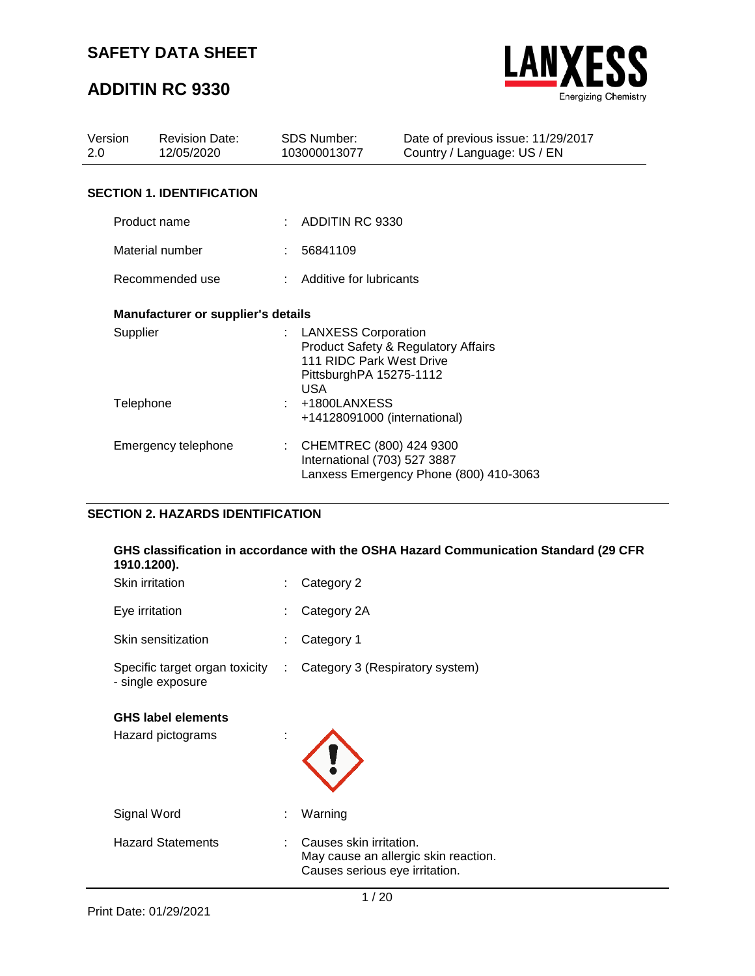## **ADDITIN RC 9330**



| Version<br>2.0 | <b>Revision Date:</b><br>12/05/2020       |  | <b>SDS Number:</b><br>103000013077                                                                                                           | Date of previous issue: 11/29/2017<br>Country / Language: US / EN |
|----------------|-------------------------------------------|--|----------------------------------------------------------------------------------------------------------------------------------------------|-------------------------------------------------------------------|
|                | <b>SECTION 1. IDENTIFICATION</b>          |  |                                                                                                                                              |                                                                   |
|                | Product name                              |  | $\therefore$ ADDITIN RC 9330                                                                                                                 |                                                                   |
|                | Material number                           |  | : 56841109                                                                                                                                   |                                                                   |
|                | Recommended use                           |  | : Additive for lubricants                                                                                                                    |                                                                   |
|                | <b>Manufacturer or supplier's details</b> |  |                                                                                                                                              |                                                                   |
|                | Supplier                                  |  | : LANXESS Corporation<br><b>Product Safety &amp; Regulatory Affairs</b><br>111 RIDC Park West Drive<br>PittsburghPA 15275-1112<br><b>USA</b> |                                                                   |
| Telephone      |                                           |  | +1800LANXESS<br>+14128091000 (international)                                                                                                 |                                                                   |
|                | Emergency telephone                       |  | CHEMTREC (800) 424 9300<br>International (703) 527 3887                                                                                      | Lanxess Emergency Phone (800) 410-3063                            |

### **SECTION 2. HAZARDS IDENTIFICATION**

### **GHS classification in accordance with the OSHA Hazard Communication Standard (29 CFR 1910.1200).**

| <b>Skin irritation</b>                              |    | Category 2                                                                                        |
|-----------------------------------------------------|----|---------------------------------------------------------------------------------------------------|
| Eye irritation                                      | ÷. | Category 2A                                                                                       |
| Skin sensitization                                  |    | Category 1                                                                                        |
| Specific target organ toxicity<br>- single exposure | ÷  | Category 3 (Respiratory system)                                                                   |
| <b>GHS label elements</b><br>Hazard pictograms      |    |                                                                                                   |
| Signal Word                                         | ÷  | Warning                                                                                           |
| <b>Hazard Statements</b>                            |    | Causes skin irritation.<br>May cause an allergic skin reaction.<br>Causes serious eye irritation. |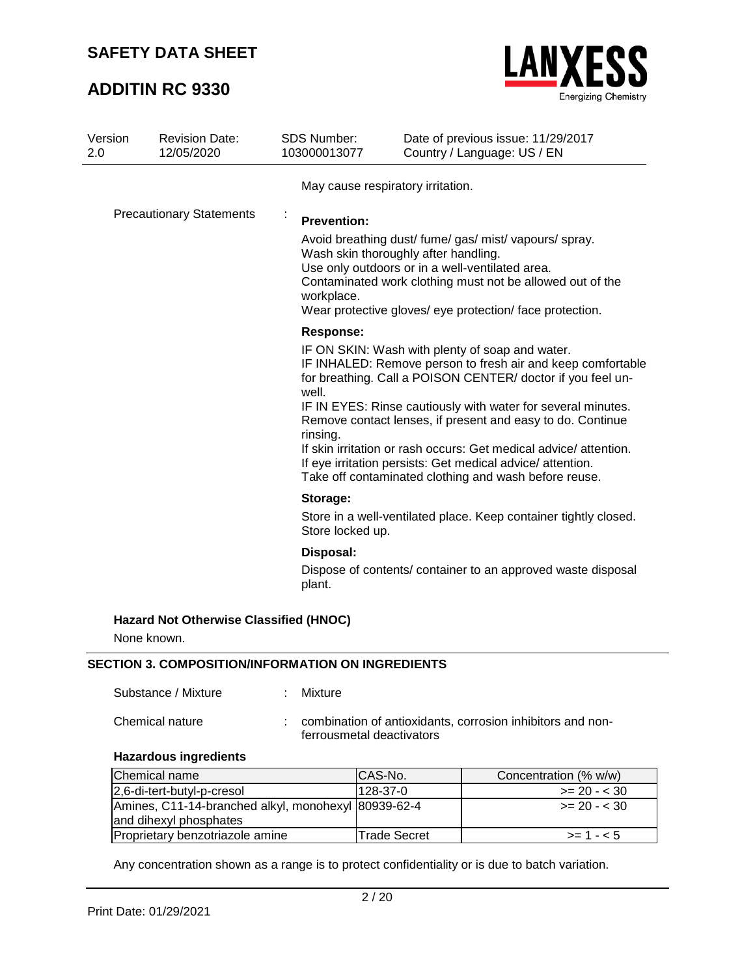## **ADDITIN RC 9330**



| Version<br>2.0 | <b>Revision Date:</b><br>12/05/2020                      | <b>SDS Number:</b><br>103000013077    | Date of previous issue: 11/29/2017<br>Country / Language: US / EN                                                                                                                                                                                                                                                                                                                                                                                                                                     |
|----------------|----------------------------------------------------------|---------------------------------------|-------------------------------------------------------------------------------------------------------------------------------------------------------------------------------------------------------------------------------------------------------------------------------------------------------------------------------------------------------------------------------------------------------------------------------------------------------------------------------------------------------|
|                |                                                          | May cause respiratory irritation.     |                                                                                                                                                                                                                                                                                                                                                                                                                                                                                                       |
|                | <b>Precautionary Statements</b>                          | <b>Prevention:</b><br>workplace.      | Avoid breathing dust/ fume/ gas/ mist/ vapours/ spray.<br>Wash skin thoroughly after handling.<br>Use only outdoors or in a well-ventilated area.<br>Contaminated work clothing must not be allowed out of the<br>Wear protective gloves/ eye protection/ face protection.                                                                                                                                                                                                                            |
|                |                                                          | <b>Response:</b><br>well.<br>rinsing. | IF ON SKIN: Wash with plenty of soap and water.<br>IF INHALED: Remove person to fresh air and keep comfortable<br>for breathing. Call a POISON CENTER/ doctor if you feel un-<br>IF IN EYES: Rinse cautiously with water for several minutes.<br>Remove contact lenses, if present and easy to do. Continue<br>If skin irritation or rash occurs: Get medical advice/attention.<br>If eye irritation persists: Get medical advice/attention.<br>Take off contaminated clothing and wash before reuse. |
|                |                                                          | Storage:                              |                                                                                                                                                                                                                                                                                                                                                                                                                                                                                                       |
|                |                                                          | Store locked up.                      | Store in a well-ventilated place. Keep container tightly closed.                                                                                                                                                                                                                                                                                                                                                                                                                                      |
|                |                                                          | Disposal:                             |                                                                                                                                                                                                                                                                                                                                                                                                                                                                                                       |
|                |                                                          | plant.                                | Dispose of contents/ container to an approved waste disposal                                                                                                                                                                                                                                                                                                                                                                                                                                          |
| None known.    | <b>Hazard Not Otherwise Classified (HNOC)</b>            |                                       |                                                                                                                                                                                                                                                                                                                                                                                                                                                                                                       |
|                | <b>SECTION 3. COMPOSITION/INFORMATION ON INGREDIENTS</b> |                                       |                                                                                                                                                                                                                                                                                                                                                                                                                                                                                                       |
|                | Substance / Mixture                                      | Mixture                               |                                                                                                                                                                                                                                                                                                                                                                                                                                                                                                       |

**Hazardous ingredients**

| Chemical name                                       | ICAS-No.                  | Concentration (% w/w) |
|-----------------------------------------------------|---------------------------|-----------------------|
| 2,6-di-tert-butyl-p-cresol                          | $128 - 37 - 0$            | $\ge$ 20 - < 30       |
| Amines, C11-14-branched alkyl, monohexyl 80939-62-4 |                           | $\geq$ 20 - < 30      |
| and dihexyl phosphates                              |                           |                       |
| Proprietary benzotriazole amine                     | <sup>I</sup> Trade Secret | $>= 1 - 5$            |

Any concentration shown as a range is to protect confidentiality or is due to batch variation.

Chemical nature : combination of antioxidants, corrosion inhibitors and nonferrousmetal deactivators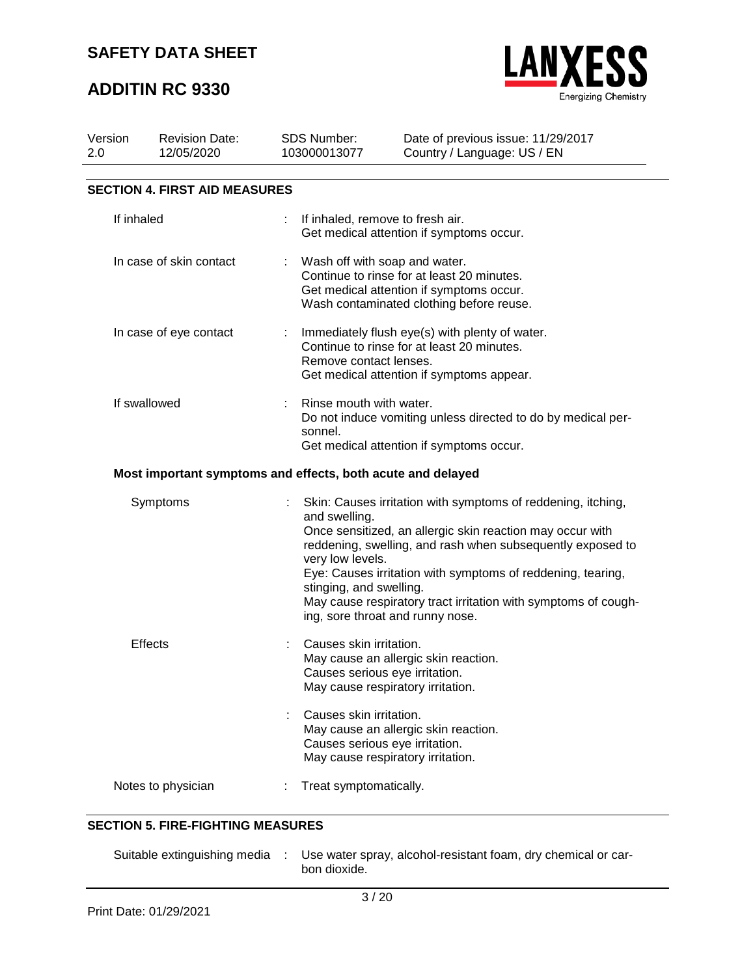## **ADDITIN RC 9330**



| Version<br>2.0         | <b>Revision Date:</b><br>12/05/2020                         | <b>SDS Number:</b><br>103000013077                           | Date of previous issue: 11/29/2017<br>Country / Language: US / EN                                                                                                                                                                                                                                                                                            |  |
|------------------------|-------------------------------------------------------------|--------------------------------------------------------------|--------------------------------------------------------------------------------------------------------------------------------------------------------------------------------------------------------------------------------------------------------------------------------------------------------------------------------------------------------------|--|
|                        | <b>SECTION 4. FIRST AID MEASURES</b>                        |                                                              |                                                                                                                                                                                                                                                                                                                                                              |  |
| If inhaled             |                                                             |                                                              | If inhaled, remove to fresh air.<br>Get medical attention if symptoms occur.                                                                                                                                                                                                                                                                                 |  |
|                        | In case of skin contact                                     |                                                              | Wash off with soap and water.<br>Continue to rinse for at least 20 minutes.<br>Get medical attention if symptoms occur.<br>Wash contaminated clothing before reuse.                                                                                                                                                                                          |  |
| In case of eye contact |                                                             | ÷<br>Remove contact lenses.                                  | Immediately flush eye(s) with plenty of water.<br>Continue to rinse for at least 20 minutes.<br>Get medical attention if symptoms appear.                                                                                                                                                                                                                    |  |
| If swallowed           |                                                             | sonnel.                                                      | Rinse mouth with water.<br>Do not induce vomiting unless directed to do by medical per-<br>Get medical attention if symptoms occur.                                                                                                                                                                                                                          |  |
|                        | Most important symptoms and effects, both acute and delayed |                                                              |                                                                                                                                                                                                                                                                                                                                                              |  |
|                        | Symptoms                                                    | and swelling.<br>very low levels.<br>stinging, and swelling. | Skin: Causes irritation with symptoms of reddening, itching,<br>Once sensitized, an allergic skin reaction may occur with<br>reddening, swelling, and rash when subsequently exposed to<br>Eye: Causes irritation with symptoms of reddening, tearing,<br>May cause respiratory tract irritation with symptoms of cough-<br>ing, sore throat and runny nose. |  |
|                        | <b>Effects</b>                                              | Causes skin irritation.<br>Causes skin irritation.           | May cause an allergic skin reaction.<br>Causes serious eye irritation.<br>May cause respiratory irritation.<br>May cause an allergic skin reaction.<br>Causes serious eye irritation.<br>May cause respiratory irritation.                                                                                                                                   |  |
|                        | Notes to physician                                          | Treat symptomatically.                                       |                                                                                                                                                                                                                                                                                                                                                              |  |

### **SECTION 5. FIRE-FIGHTING MEASURES**

|  | Suitable extinguishing media : Use water spray, alcohol-resistant foam, dry chemical or car-<br>bon dioxide. |
|--|--------------------------------------------------------------------------------------------------------------|
|  |                                                                                                              |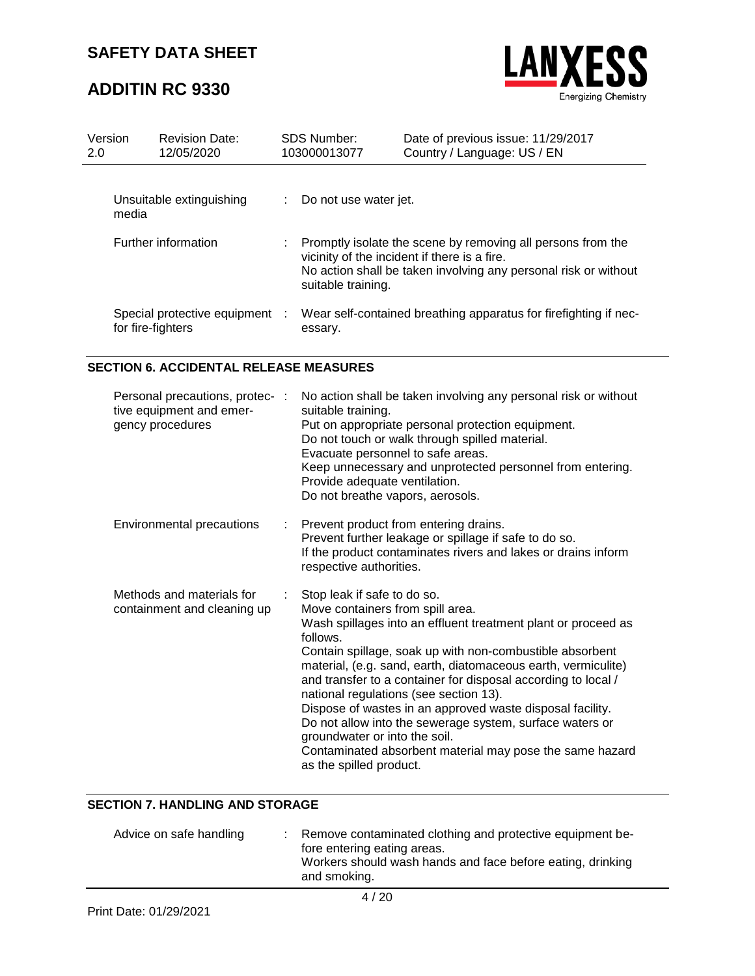# **ADDITIN RC 9330**



| Version<br>2.0      | <b>Revision Date:</b><br>12/05/2020               | <b>SDS Number:</b><br>103000013077 | Date of previous issue: 11/29/2017<br>Country / Language: US / EN                                                                                                              |
|---------------------|---------------------------------------------------|------------------------------------|--------------------------------------------------------------------------------------------------------------------------------------------------------------------------------|
| media               | Unsuitable extinguishing                          | Do not use water jet.              |                                                                                                                                                                                |
| Further information |                                                   | suitable training.                 | Promptly isolate the scene by removing all persons from the<br>vicinity of the incident if there is a fire.<br>No action shall be taken involving any personal risk or without |
|                     | Special protective equipment<br>for fire-fighters | essary.                            | Wear self-contained breathing apparatus for firefighting if nec-                                                                                                               |

### **SECTION 6. ACCIDENTAL RELEASE MEASURES**

| Personal precautions, protec- :<br>tive equipment and emer-<br>gency procedures |    | No action shall be taken involving any personal risk or without<br>suitable training.<br>Put on appropriate personal protection equipment.<br>Do not touch or walk through spilled material.<br>Evacuate personnel to safe areas.<br>Keep unnecessary and unprotected personnel from entering.<br>Provide adequate ventilation.<br>Do not breathe vapors, aerosols.                                                                                                                                                                                                                                                                   |
|---------------------------------------------------------------------------------|----|---------------------------------------------------------------------------------------------------------------------------------------------------------------------------------------------------------------------------------------------------------------------------------------------------------------------------------------------------------------------------------------------------------------------------------------------------------------------------------------------------------------------------------------------------------------------------------------------------------------------------------------|
| Environmental precautions                                                       | t. | Prevent product from entering drains.<br>Prevent further leakage or spillage if safe to do so.<br>If the product contaminates rivers and lakes or drains inform<br>respective authorities.                                                                                                                                                                                                                                                                                                                                                                                                                                            |
| Methods and materials for<br>containment and cleaning up                        |    | Stop leak if safe to do so.<br>Move containers from spill area.<br>Wash spillages into an effluent treatment plant or proceed as<br>follows.<br>Contain spillage, soak up with non-combustible absorbent<br>material, (e.g. sand, earth, diatomaceous earth, vermiculite)<br>and transfer to a container for disposal according to local /<br>national regulations (see section 13).<br>Dispose of wastes in an approved waste disposal facility.<br>Do not allow into the sewerage system, surface waters or<br>groundwater or into the soil.<br>Contaminated absorbent material may pose the same hazard<br>as the spilled product. |

### **SECTION 7. HANDLING AND STORAGE**

| : Remove contaminated clothing and protective equipment be-<br>Advice on safe handling<br>fore entering eating areas.<br>and smoking. | Workers should wash hands and face before eating, drinking |
|---------------------------------------------------------------------------------------------------------------------------------------|------------------------------------------------------------|
|---------------------------------------------------------------------------------------------------------------------------------------|------------------------------------------------------------|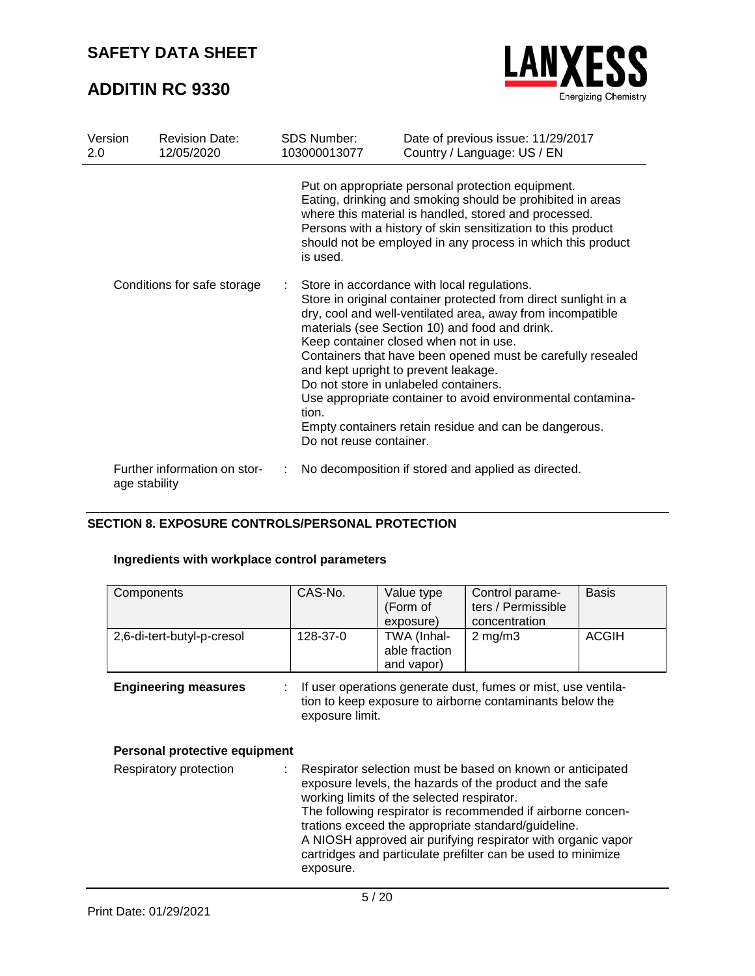## **ADDITIN RC 9330**



| Version<br>2.0              | <b>Revision Date:</b><br>12/05/2020           | <b>SDS Number:</b><br>103000013077                                                                                                                                                                                                                                                                                  | Date of previous issue: 11/29/2017<br>Country / Language: US / EN                                                                                                                                                                                                                                                                                                                                                                                                                                                                                |  |  |  |
|-----------------------------|-----------------------------------------------|---------------------------------------------------------------------------------------------------------------------------------------------------------------------------------------------------------------------------------------------------------------------------------------------------------------------|--------------------------------------------------------------------------------------------------------------------------------------------------------------------------------------------------------------------------------------------------------------------------------------------------------------------------------------------------------------------------------------------------------------------------------------------------------------------------------------------------------------------------------------------------|--|--|--|
|                             |                                               | Put on appropriate personal protection equipment.<br>Eating, drinking and smoking should be prohibited in areas<br>where this material is handled, stored and processed.<br>Persons with a history of skin sensitization to this product<br>should not be employed in any process in which this product<br>is used. |                                                                                                                                                                                                                                                                                                                                                                                                                                                                                                                                                  |  |  |  |
| Conditions for safe storage |                                               | tion.<br>Do not reuse container.                                                                                                                                                                                                                                                                                    | Store in accordance with local regulations.<br>Store in original container protected from direct sunlight in a<br>dry, cool and well-ventilated area, away from incompatible<br>materials (see Section 10) and food and drink.<br>Keep container closed when not in use.<br>Containers that have been opened must be carefully resealed<br>and kept upright to prevent leakage.<br>Do not store in unlabeled containers.<br>Use appropriate container to avoid environmental contamina-<br>Empty containers retain residue and can be dangerous. |  |  |  |
|                             | Further information on stor-<br>age stability |                                                                                                                                                                                                                                                                                                                     | No decomposition if stored and applied as directed.                                                                                                                                                                                                                                                                                                                                                                                                                                                                                              |  |  |  |

### **SECTION 8. EXPOSURE CONTROLS/PERSONAL PROTECTION**

### **Ingredients with workplace control parameters**

| Components                 | CAS-No.  | Value type<br>(Form of<br>exposure)        | Control parame-<br>ters / Permissible<br>concentration | <b>Basis</b> |
|----------------------------|----------|--------------------------------------------|--------------------------------------------------------|--------------|
| 2,6-di-tert-butyl-p-cresol | 128-37-0 | TWA (Inhal-<br>able fraction<br>and vapor) | $2 \text{ mg/m}$                                       | <b>ACGIH</b> |

**Engineering measures** : If user operations generate dust, fumes or mist, use ventilation to keep exposure to airborne contaminants below the exposure limit.

### **Personal protective equipment**

| Respiratory protection | t. | Respirator selection must be based on known or anticipated<br>exposure levels, the hazards of the product and the safe |
|------------------------|----|------------------------------------------------------------------------------------------------------------------------|
|                        |    | working limits of the selected respirator.                                                                             |
|                        |    | The following respirator is recommended if airborne concen-                                                            |
|                        |    | trations exceed the appropriate standard/guideline.                                                                    |
|                        |    | A NIOSH approved air purifying respirator with organic vapor                                                           |
|                        |    | cartridges and particulate prefilter can be used to minimize                                                           |
|                        |    | exposure.                                                                                                              |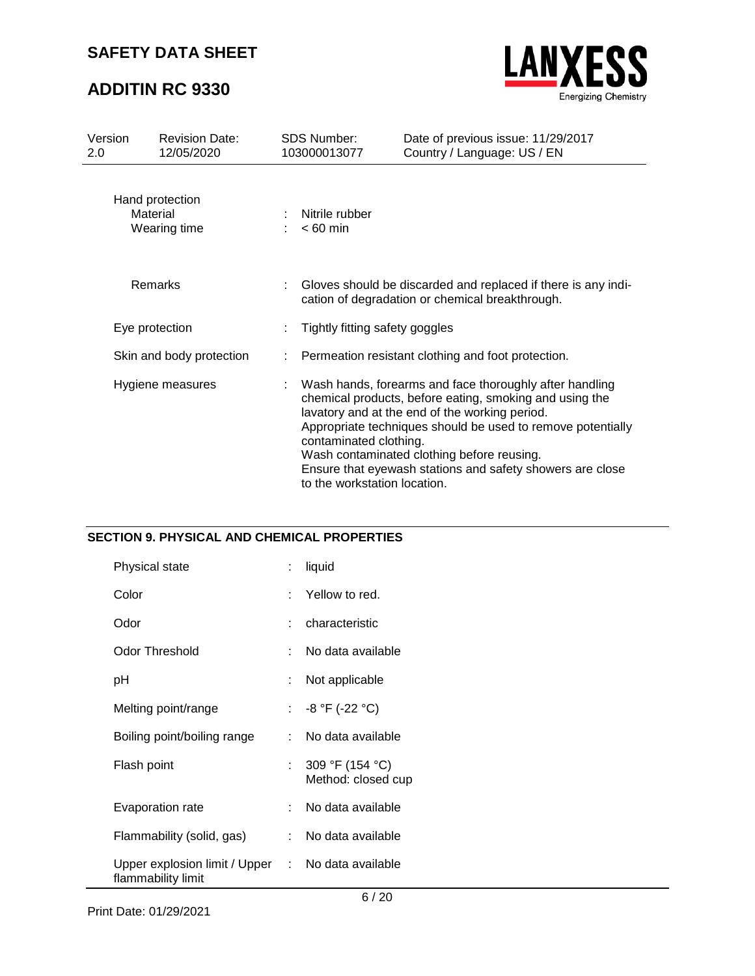## **ADDITIN RC 9330**

Ĭ.



| Version<br>2.0           | <b>Revision Date:</b><br>12/05/2020         |  | <b>SDS Number:</b><br>103000013077                     | Date of previous issue: 11/29/2017<br>Country / Language: US / EN                                                                                                                                                                                                                                                                              |  |
|--------------------------|---------------------------------------------|--|--------------------------------------------------------|------------------------------------------------------------------------------------------------------------------------------------------------------------------------------------------------------------------------------------------------------------------------------------------------------------------------------------------------|--|
|                          | Hand protection<br>Material<br>Wearing time |  | Nitrile rubber<br>$< 60$ min                           |                                                                                                                                                                                                                                                                                                                                                |  |
|                          | Remarks                                     |  |                                                        | Gloves should be discarded and replaced if there is any indi-<br>cation of degradation or chemical breakthrough.                                                                                                                                                                                                                               |  |
| Eye protection           |                                             |  | Tightly fitting safety goggles                         |                                                                                                                                                                                                                                                                                                                                                |  |
| Skin and body protection |                                             |  | Permeation resistant clothing and foot protection.     |                                                                                                                                                                                                                                                                                                                                                |  |
| Hygiene measures         |                                             |  | contaminated clothing.<br>to the workstation location. | Wash hands, forearms and face thoroughly after handling<br>chemical products, before eating, smoking and using the<br>lavatory and at the end of the working period.<br>Appropriate techniques should be used to remove potentially<br>Wash contaminated clothing before reusing.<br>Ensure that eyewash stations and safety showers are close |  |

### **SECTION 9. PHYSICAL AND CHEMICAL PROPERTIES**

| Physical state                                                          | t. | liquid                                    |
|-------------------------------------------------------------------------|----|-------------------------------------------|
| Color                                                                   |    | : Yellow to red.                          |
| Odor                                                                    |    | characteristic                            |
| Odor Threshold                                                          |    | No data available                         |
| рH                                                                      | t. | Not applicable                            |
| Melting point/range                                                     |    | : $-8 °F (-22 °C)$                        |
| Boiling point/boiling range                                             |    | : No data available                       |
| Flash point                                                             |    | : $309 °F (154 °C)$<br>Method: closed cup |
| Evaporation rate                                                        | t. | No data available                         |
| Flammability (solid, gas)                                               |    | : No data available                       |
| Upper explosion limit / Upper : No data available<br>flammability limit |    |                                           |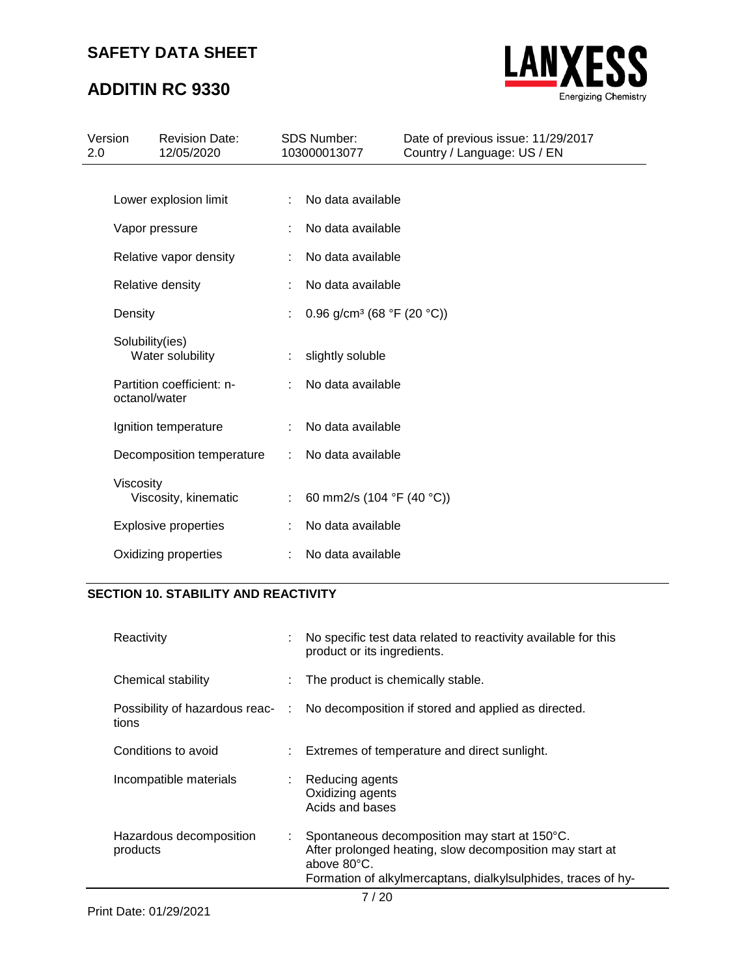# **ADDITIN RC 9330**



| Version<br>2.0 |                 | <b>Revision Date:</b><br>12/05/2020 |    | <b>SDS Number:</b><br>103000013077     | Date of previous issue: 11/29/2017<br>Country / Language: US / EN |
|----------------|-----------------|-------------------------------------|----|----------------------------------------|-------------------------------------------------------------------|
|                |                 |                                     |    |                                        |                                                                   |
|                |                 | Lower explosion limit               |    | No data available                      |                                                                   |
|                |                 | Vapor pressure                      |    | No data available                      |                                                                   |
|                |                 | Relative vapor density              |    | No data available                      |                                                                   |
|                |                 | Relative density                    |    | No data available                      |                                                                   |
|                | Density         |                                     |    | 0.96 g/cm <sup>3</sup> (68 °F (20 °C)) |                                                                   |
|                | Solubility(ies) | Water solubility                    | ÷. | slightly soluble                       |                                                                   |
|                | octanol/water   | Partition coefficient: n-           |    | No data available                      |                                                                   |
|                |                 | Ignition temperature                | ÷  | No data available                      |                                                                   |
|                |                 | Decomposition temperature           | ÷  | No data available                      |                                                                   |
|                | Viscosity       | Viscosity, kinematic                |    | 60 mm2/s (104 °F (40 °C))              |                                                                   |
|                |                 | <b>Explosive properties</b>         |    | No data available                      |                                                                   |
|                |                 | Oxidizing properties                |    | No data available                      |                                                                   |

### **SECTION 10. STABILITY AND REACTIVITY**

| Reactivity                          |                               | No specific test data related to reactivity available for this<br>product or its ingredients.                                                                                             |
|-------------------------------------|-------------------------------|-------------------------------------------------------------------------------------------------------------------------------------------------------------------------------------------|
| Chemical stability                  |                               | : The product is chemically stable.                                                                                                                                                       |
| tions                               |                               | Possibility of hazardous reac- : No decomposition if stored and applied as directed.                                                                                                      |
| Conditions to avoid                 |                               | : Extremes of temperature and direct sunlight.                                                                                                                                            |
| Incompatible materials              | $\mathcal{L}^{\mathcal{L}}$ . | Reducing agents<br>Oxidizing agents<br>Acids and bases                                                                                                                                    |
| Hazardous decomposition<br>products | ÷.                            | Spontaneous decomposition may start at 150°C.<br>After prolonged heating, slow decomposition may start at<br>above 80°C.<br>Formation of alkylmercaptans, dialkylsulphides, traces of hy- |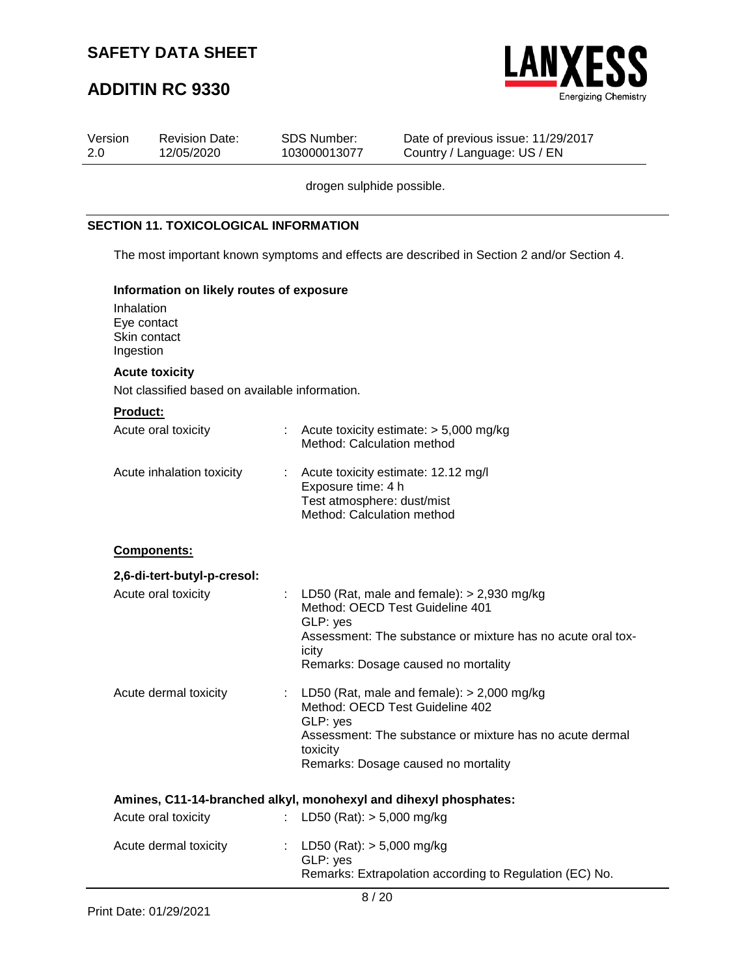

| Version<br>2.0 | <b>Revision Date:</b><br>12/05/2020                    |    | <b>SDS Number:</b><br>103000013077                                             | Date of previous issue: 11/29/2017<br>Country / Language: US / EN                                                                                                                     |  |  |  |  |  |
|----------------|--------------------------------------------------------|----|--------------------------------------------------------------------------------|---------------------------------------------------------------------------------------------------------------------------------------------------------------------------------------|--|--|--|--|--|
|                | drogen sulphide possible.                              |    |                                                                                |                                                                                                                                                                                       |  |  |  |  |  |
|                | <b>SECTION 11. TOXICOLOGICAL INFORMATION</b>           |    |                                                                                |                                                                                                                                                                                       |  |  |  |  |  |
|                |                                                        |    |                                                                                | The most important known symptoms and effects are described in Section 2 and/or Section 4.                                                                                            |  |  |  |  |  |
|                | Information on likely routes of exposure               |    |                                                                                |                                                                                                                                                                                       |  |  |  |  |  |
|                | Inhalation<br>Eye contact<br>Skin contact<br>Ingestion |    |                                                                                |                                                                                                                                                                                       |  |  |  |  |  |
|                | <b>Acute toxicity</b>                                  |    |                                                                                |                                                                                                                                                                                       |  |  |  |  |  |
|                | Not classified based on available information.         |    |                                                                                |                                                                                                                                                                                       |  |  |  |  |  |
|                | <b>Product:</b>                                        |    |                                                                                |                                                                                                                                                                                       |  |  |  |  |  |
|                | Acute oral toxicity                                    |    | Method: Calculation method                                                     | Acute toxicity estimate: > 5,000 mg/kg                                                                                                                                                |  |  |  |  |  |
|                | Acute inhalation toxicity                              |    | Exposure time: 4 h<br>Test atmosphere: dust/mist<br>Method: Calculation method | Acute toxicity estimate: 12.12 mg/l                                                                                                                                                   |  |  |  |  |  |
|                | Components:                                            |    |                                                                                |                                                                                                                                                                                       |  |  |  |  |  |
|                | 2,6-di-tert-butyl-p-cresol:                            |    |                                                                                |                                                                                                                                                                                       |  |  |  |  |  |
|                | Acute oral toxicity                                    | t. | GLP: yes<br>icity                                                              | LD50 (Rat, male and female): $>$ 2,930 mg/kg<br>Method: OECD Test Guideline 401<br>Assessment: The substance or mixture has no acute oral tox-<br>Remarks: Dosage caused no mortality |  |  |  |  |  |
|                | Acute dermal toxicity                                  |    | GLP: yes<br>toxicity                                                           | : LD50 (Rat, male and female): $> 2,000$ mg/kg<br>Method: OECD Test Guideline 402<br>Assessment: The substance or mixture has no acute dermal<br>Remarks: Dosage caused no mortality  |  |  |  |  |  |
|                |                                                        |    |                                                                                | Amines, C11-14-branched alkyl, monohexyl and dihexyl phosphates:                                                                                                                      |  |  |  |  |  |
|                | Acute oral toxicity                                    |    | LD50 (Rat): $> 5,000$ mg/kg                                                    |                                                                                                                                                                                       |  |  |  |  |  |
|                | Acute dermal toxicity                                  |    | LD50 (Rat): $> 5,000$ mg/kg<br>GLP: yes                                        | Remarks: Extrapolation according to Regulation (EC) No.                                                                                                                               |  |  |  |  |  |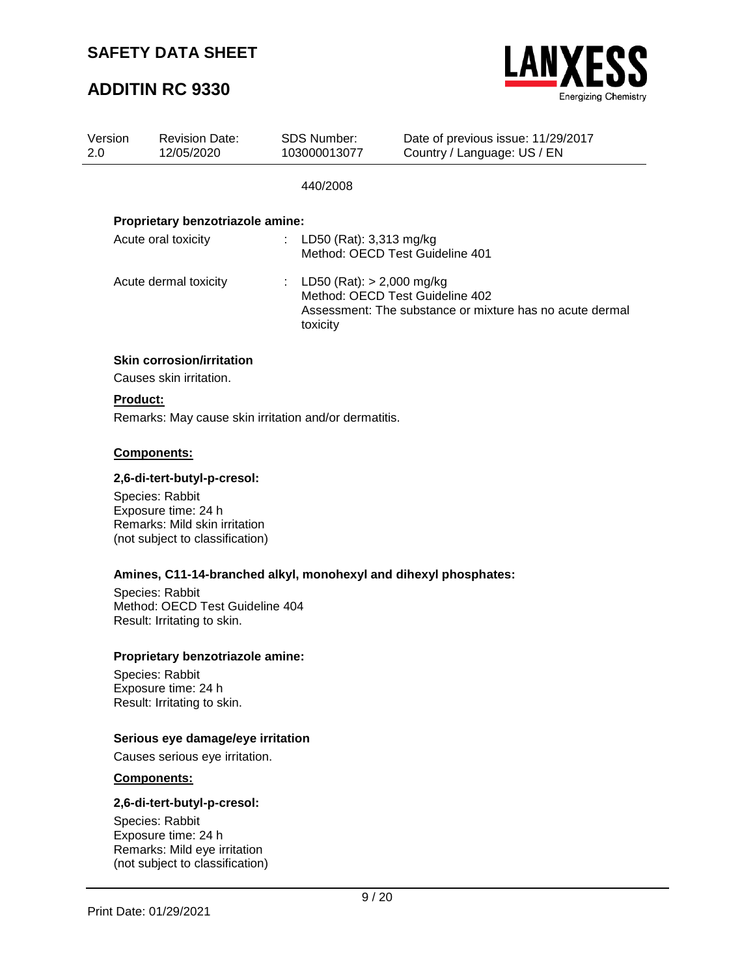## **ADDITIN RC 9330**



| Version<br>2.0  | <b>Revision Date:</b><br>12/05/2020 | SDS Number:<br>103000013077                           | Date of previous issue: 11/29/2017<br>Country / Language: US / EN                                                            |  |  |  |  |
|-----------------|-------------------------------------|-------------------------------------------------------|------------------------------------------------------------------------------------------------------------------------------|--|--|--|--|
|                 |                                     | 440/2008                                              |                                                                                                                              |  |  |  |  |
|                 | Proprietary benzotriazole amine:    |                                                       |                                                                                                                              |  |  |  |  |
|                 | Acute oral toxicity                 | : LD50 (Rat): 3,313 mg/kg                             | Method: OECD Test Guideline 401                                                                                              |  |  |  |  |
|                 | Acute dermal toxicity               | toxicity                                              | : LD50 (Rat): $>$ 2,000 mg/kg<br>Method: OECD Test Guideline 402<br>Assessment: The substance or mixture has no acute dermal |  |  |  |  |
|                 | <b>Skin corrosion/irritation</b>    |                                                       |                                                                                                                              |  |  |  |  |
|                 | Causes skin irritation.             |                                                       |                                                                                                                              |  |  |  |  |
| <b>Product:</b> |                                     |                                                       |                                                                                                                              |  |  |  |  |
|                 |                                     | Remarks: May cause skin irritation and/or dermatitis. |                                                                                                                              |  |  |  |  |

#### **Components:**

#### **2,6-di-tert-butyl-p-cresol:**

Species: Rabbit Exposure time: 24 h Remarks: Mild skin irritation (not subject to classification)

### **Amines, C11-14-branched alkyl, monohexyl and dihexyl phosphates:**

Species: Rabbit Method: OECD Test Guideline 404 Result: Irritating to skin.

#### **Proprietary benzotriazole amine:**

Species: Rabbit Exposure time: 24 h Result: Irritating to skin.

### **Serious eye damage/eye irritation**

Causes serious eye irritation.

#### **Components:**

#### **2,6-di-tert-butyl-p-cresol:**

Species: Rabbit Exposure time: 24 h Remarks: Mild eye irritation (not subject to classification)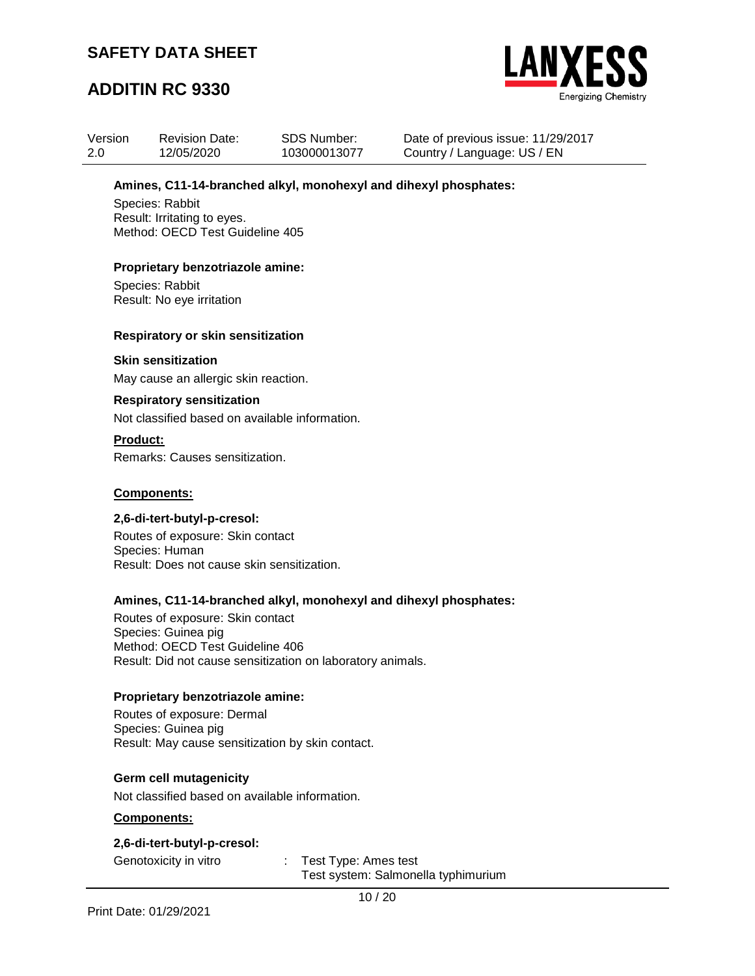## **ADDITIN RC 9330**



| Version | <b>Revision Date:</b> | <b>SDS Number:</b> |
|---------|-----------------------|--------------------|
| -2.0    | 12/05/2020            | 103000013077       |

Date of previous issue: 11/29/2017 Country / Language: US / EN

### **Amines, C11-14-branched alkyl, monohexyl and dihexyl phosphates:**

Species: Rabbit Result: Irritating to eyes. Method: OECD Test Guideline 405

### **Proprietary benzotriazole amine:**

Species: Rabbit Result: No eye irritation

#### **Respiratory or skin sensitization**

#### **Skin sensitization**

May cause an allergic skin reaction.

#### **Respiratory sensitization**

Not classified based on available information.

#### **Product:**

Remarks: Causes sensitization.

#### **Components:**

#### **2,6-di-tert-butyl-p-cresol:**

Routes of exposure: Skin contact Species: Human Result: Does not cause skin sensitization.

### **Amines, C11-14-branched alkyl, monohexyl and dihexyl phosphates:**

Routes of exposure: Skin contact Species: Guinea pig Method: OECD Test Guideline 406 Result: Did not cause sensitization on laboratory animals.

### **Proprietary benzotriazole amine:**

Routes of exposure: Dermal Species: Guinea pig Result: May cause sensitization by skin contact.

### **Germ cell mutagenicity**

Not classified based on available information.

#### **Components:**

### **2,6-di-tert-butyl-p-cresol:**

Genotoxicity in vitro : Test Type: Ames test Test system: Salmonella typhimurium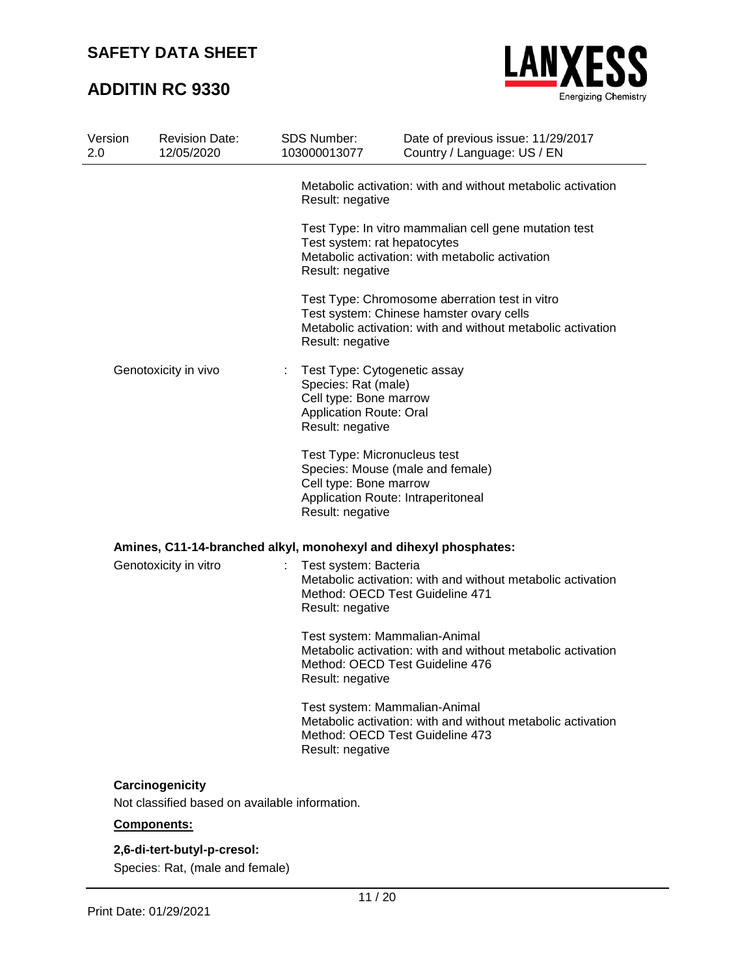## **ADDITIN RC 9330**



| Version<br>2.0       | <b>Revision Date:</b><br>12/05/2020            | SDS Number:<br>103000013077                      | Date of previous issue: 11/29/2017<br>Country / Language: US / EN                                                                                         |  |  |  |  |  |
|----------------------|------------------------------------------------|--------------------------------------------------|-----------------------------------------------------------------------------------------------------------------------------------------------------------|--|--|--|--|--|
|                      |                                                | Result: negative                                 | Metabolic activation: with and without metabolic activation                                                                                               |  |  |  |  |  |
|                      |                                                | Test system: rat hepatocytes<br>Result: negative | Test Type: In vitro mammalian cell gene mutation test<br>Metabolic activation: with metabolic activation                                                  |  |  |  |  |  |
|                      |                                                | Result: negative                                 | Test Type: Chromosome aberration test in vitro<br>Test system: Chinese hamster ovary cells<br>Metabolic activation: with and without metabolic activation |  |  |  |  |  |
| Genotoxicity in vivo |                                                |                                                  | Test Type: Cytogenetic assay<br>Species: Rat (male)<br>Cell type: Bone marrow<br><b>Application Route: Oral</b><br>Result: negative                       |  |  |  |  |  |
|                      |                                                |                                                  | Test Type: Micronucleus test<br>Species: Mouse (male and female)<br>Cell type: Bone marrow<br>Application Route: Intraperitoneal<br>Result: negative      |  |  |  |  |  |
|                      |                                                |                                                  | Amines, C11-14-branched alkyl, monohexyl and dihexyl phosphates:                                                                                          |  |  |  |  |  |
|                      | Genotoxicity in vitro                          | Test system: Bacteria<br>Result: negative        | Metabolic activation: with and without metabolic activation<br>Method: OECD Test Guideline 471                                                            |  |  |  |  |  |
|                      |                                                | Result: negative                                 | Test system: Mammalian-Animal<br>Metabolic activation: with and without metabolic activation<br>Method: OECD Test Guideline 476                           |  |  |  |  |  |
|                      |                                                | Result: negative                                 | Test system: Mammalian-Animal<br>Metabolic activation: with and without metabolic activation<br>Method: OECD Test Guideline 473                           |  |  |  |  |  |
|                      | Carcinogenicity                                |                                                  |                                                                                                                                                           |  |  |  |  |  |
|                      | Not classified based on available information. |                                                  |                                                                                                                                                           |  |  |  |  |  |
|                      |                                                |                                                  |                                                                                                                                                           |  |  |  |  |  |

### **Components:**

### **2,6-di-tert-butyl-p-cresol:**

Species: Rat, (male and female)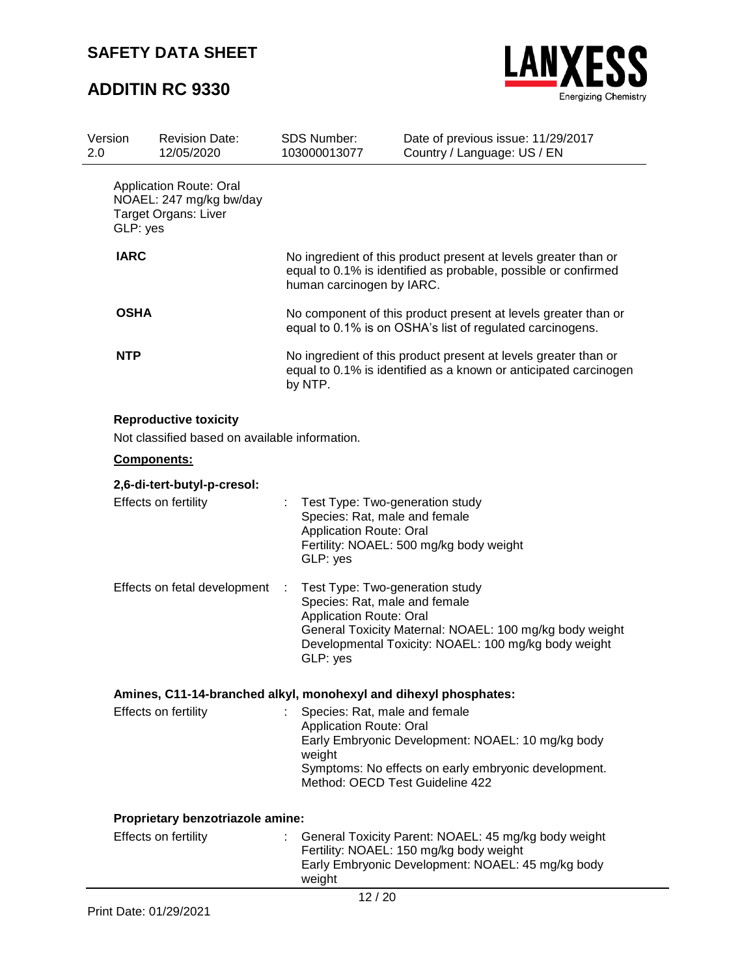

| Version<br>2.0 |                              | <b>Revision Date:</b><br>12/05/2020                                            |                                                                                                                                                | <b>SDS Number:</b><br>103000013077                                                                                                                                                                                                | Date of previous issue: 11/29/2017<br>Country / Language: US / EN                                                                                    |  |  |  |
|----------------|------------------------------|--------------------------------------------------------------------------------|------------------------------------------------------------------------------------------------------------------------------------------------|-----------------------------------------------------------------------------------------------------------------------------------------------------------------------------------------------------------------------------------|------------------------------------------------------------------------------------------------------------------------------------------------------|--|--|--|
|                | GLP: yes                     | Application Route: Oral<br>NOAEL: 247 mg/kg bw/day<br>Target Organs: Liver     |                                                                                                                                                |                                                                                                                                                                                                                                   |                                                                                                                                                      |  |  |  |
|                | <b>IARC</b>                  |                                                                                |                                                                                                                                                | No ingredient of this product present at levels greater than or<br>equal to 0.1% is identified as probable, possible or confirmed<br>human carcinogen by IARC.                                                                    |                                                                                                                                                      |  |  |  |
|                | <b>OSHA</b>                  |                                                                                |                                                                                                                                                |                                                                                                                                                                                                                                   | No component of this product present at levels greater than or<br>equal to 0.1% is on OSHA's list of regulated carcinogens.                          |  |  |  |
|                | <b>NTP</b>                   |                                                                                | No ingredient of this product present at levels greater than or<br>equal to 0.1% is identified as a known or anticipated carcinogen<br>by NTP. |                                                                                                                                                                                                                                   |                                                                                                                                                      |  |  |  |
|                |                              | <b>Reproductive toxicity</b><br>Not classified based on available information. |                                                                                                                                                |                                                                                                                                                                                                                                   |                                                                                                                                                      |  |  |  |
|                | Components:                  |                                                                                |                                                                                                                                                |                                                                                                                                                                                                                                   |                                                                                                                                                      |  |  |  |
|                |                              | 2,6-di-tert-butyl-p-cresol:                                                    |                                                                                                                                                |                                                                                                                                                                                                                                   |                                                                                                                                                      |  |  |  |
|                |                              | Effects on fertility                                                           |                                                                                                                                                | Test Type: Two-generation study<br>Species: Rat, male and female<br><b>Application Route: Oral</b><br>GLP: yes                                                                                                                    | Fertility: NOAEL: 500 mg/kg body weight                                                                                                              |  |  |  |
|                | Effects on fetal development |                                                                                | ÷                                                                                                                                              | Test Type: Two-generation study<br>Species: Rat, male and female<br><b>Application Route: Oral</b><br>General Toxicity Maternal: NOAEL: 100 mg/kg body weight<br>Developmental Toxicity: NOAEL: 100 mg/kg body weight<br>GLP: yes |                                                                                                                                                      |  |  |  |
|                |                              | Amines, C11-14-branched alkyl, monohexyl and dihexyl phosphates:               |                                                                                                                                                |                                                                                                                                                                                                                                   |                                                                                                                                                      |  |  |  |
|                |                              | Effects on fertility                                                           |                                                                                                                                                | Species: Rat, male and female<br><b>Application Route: Oral</b><br>weight<br>Method: OECD Test Guideline 422                                                                                                                      | Early Embryonic Development: NOAEL: 10 mg/kg body<br>Symptoms: No effects on early embryonic development.                                            |  |  |  |
|                |                              | Proprietary benzotriazole amine:                                               |                                                                                                                                                |                                                                                                                                                                                                                                   |                                                                                                                                                      |  |  |  |
|                |                              | Effects on fertility                                                           |                                                                                                                                                | weight                                                                                                                                                                                                                            | General Toxicity Parent: NOAEL: 45 mg/kg body weight<br>Fertility: NOAEL: 150 mg/kg body weight<br>Early Embryonic Development: NOAEL: 45 mg/kg body |  |  |  |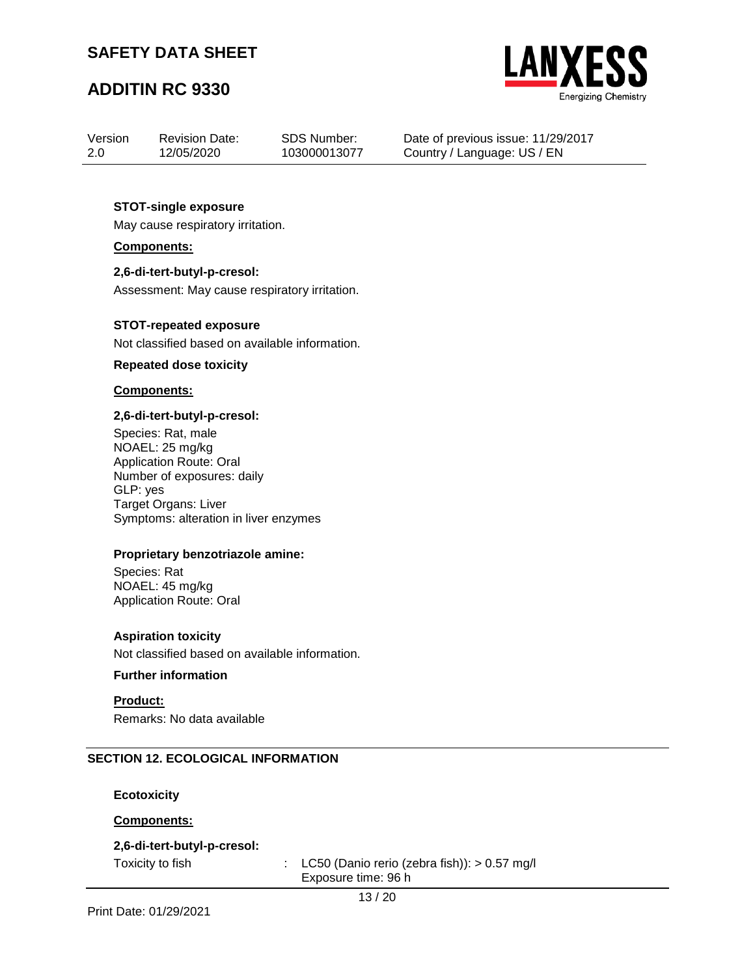## **ADDITIN RC 9330**



| Version | <b>Revision Date:</b> | <b>SDS Number:</b> |
|---------|-----------------------|--------------------|
| 2.0     | 12/05/2020            | 103000013077       |

Date of previous issue: 11/29/2017 Country / Language: US / EN

### **STOT-single exposure**

May cause respiratory irritation.

**Components:**

### **2,6-di-tert-butyl-p-cresol:**

Assessment: May cause respiratory irritation.

#### **STOT-repeated exposure**

Not classified based on available information.

#### **Repeated dose toxicity**

#### **Components:**

#### **2,6-di-tert-butyl-p-cresol:**

Species: Rat, male NOAEL: 25 mg/kg Application Route: Oral Number of exposures: daily GLP: yes Target Organs: Liver Symptoms: alteration in liver enzymes

### **Proprietary benzotriazole amine:**

Species: Rat NOAEL: 45 mg/kg Application Route: Oral

### **Aspiration toxicity**

Not classified based on available information.

### **Further information**

**Product:** Remarks: No data available

### **SECTION 12. ECOLOGICAL INFORMATION**

**Ecotoxicity**

### **Components:**

### **2,6-di-tert-butyl-p-cresol:**

Toxicity to fish : LC50 (Danio rerio (zebra fish)): > 0.57 mg/l Exposure time: 96 h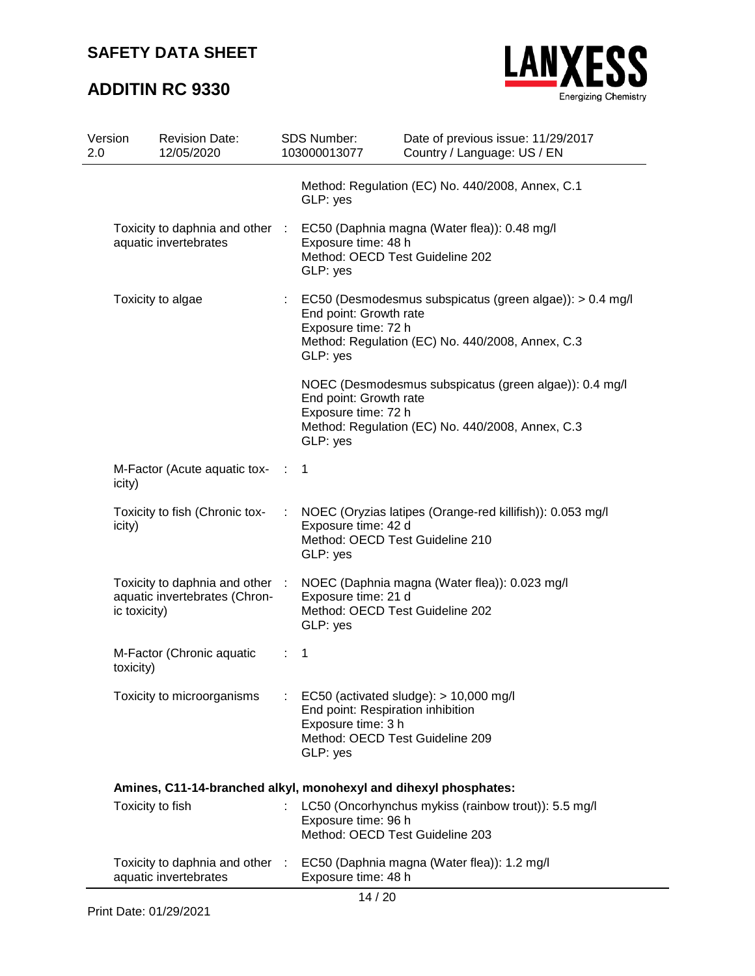

| Version<br>2.0 |                  | <b>Revision Date:</b><br>12/05/2020                              |                | SDS Number:<br>103000013077                                                                            | Date of previous issue: 11/29/2017<br>Country / Language: US / EN                                            |
|----------------|------------------|------------------------------------------------------------------|----------------|--------------------------------------------------------------------------------------------------------|--------------------------------------------------------------------------------------------------------------|
|                |                  |                                                                  |                | GLP: yes                                                                                               | Method: Regulation (EC) No. 440/2008, Annex, C.1                                                             |
|                |                  | Toxicity to daphnia and other :<br>aquatic invertebrates         |                | Exposure time: 48 h<br>Method: OECD Test Guideline 202<br>GLP: yes                                     | EC50 (Daphnia magna (Water flea)): 0.48 mg/l                                                                 |
|                |                  | Toxicity to algae                                                | $\mathbb{Z}^n$ | End point: Growth rate<br>Exposure time: 72 h<br>GLP: yes                                              | EC50 (Desmodesmus subspicatus (green algae)): > 0.4 mg/l<br>Method: Regulation (EC) No. 440/2008, Annex, C.3 |
|                |                  |                                                                  |                | End point: Growth rate<br>Exposure time: 72 h<br>GLP: yes                                              | NOEC (Desmodesmus subspicatus (green algae)): 0.4 mg/l<br>Method: Regulation (EC) No. 440/2008, Annex, C.3   |
|                | icity)           | M-Factor (Acute aquatic tox-                                     | $\sim 100$     | 1                                                                                                      |                                                                                                              |
|                | icity)           | Toxicity to fish (Chronic tox-                                   |                | Exposure time: 42 d<br>Method: OECD Test Guideline 210<br>GLP: yes                                     | NOEC (Oryzias latipes (Orange-red killifish)): 0.053 mg/l                                                    |
|                | ic toxicity)     | Toxicity to daphnia and other :<br>aquatic invertebrates (Chron- |                | Exposure time: 21 d<br>Method: OECD Test Guideline 202<br>GLP: yes                                     | NOEC (Daphnia magna (Water flea)): 0.023 mg/l                                                                |
|                | toxicity)        | M-Factor (Chronic aquatic                                        | ÷.             | 1                                                                                                      |                                                                                                              |
|                |                  | Toxicity to microorganisms                                       |                | End point: Respiration inhibition<br>Exposure time: 3 h<br>Method: OECD Test Guideline 209<br>GLP: yes | EC50 (activated sludge): > 10,000 mg/l                                                                       |
|                |                  | Amines, C11-14-branched alkyl, monohexyl and dihexyl phosphates: |                |                                                                                                        |                                                                                                              |
|                | Toxicity to fish |                                                                  |                | Exposure time: 96 h<br>Method: OECD Test Guideline 203                                                 | LC50 (Oncorhynchus mykiss (rainbow trout)): 5.5 mg/l                                                         |
|                |                  | Toxicity to daphnia and other :<br>aquatic invertebrates         |                | Exposure time: 48 h                                                                                    | EC50 (Daphnia magna (Water flea)): 1.2 mg/l                                                                  |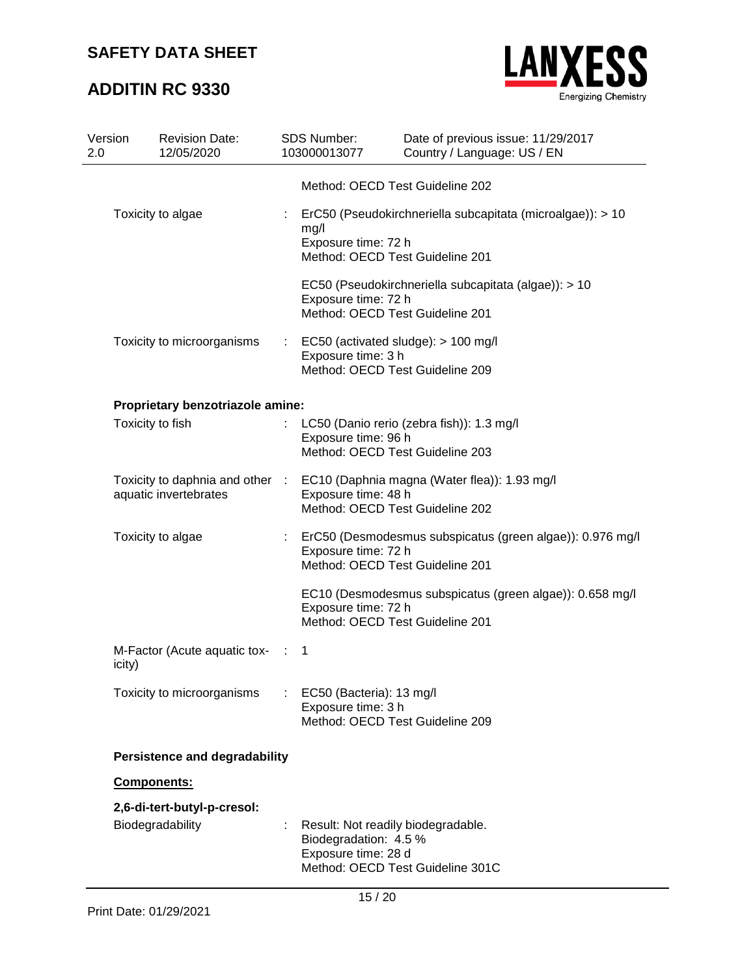

| Version<br>2.0   | <b>Revision Date:</b><br>12/05/2020                      |   | SDS Number:<br>103000013077                                                                            | Date of previous issue: 11/29/2017<br>Country / Language: US / EN |  |  |
|------------------|----------------------------------------------------------|---|--------------------------------------------------------------------------------------------------------|-------------------------------------------------------------------|--|--|
|                  |                                                          |   | Method: OECD Test Guideline 202                                                                        |                                                                   |  |  |
|                  | Toxicity to algae                                        |   | mg/l<br>Exposure time: 72 h<br>Method: OECD Test Guideline 201                                         | ErC50 (Pseudokirchneriella subcapitata (microalgae)): > 10        |  |  |
|                  |                                                          |   | Exposure time: 72 h<br>Method: OECD Test Guideline 201                                                 | EC50 (Pseudokirchneriella subcapitata (algae)): > 10              |  |  |
|                  | Toxicity to microorganisms                               | ÷ | EC50 (activated sludge): > 100 mg/l<br>Exposure time: 3 h<br>Method: OECD Test Guideline 209           |                                                                   |  |  |
|                  | Proprietary benzotriazole amine:                         |   |                                                                                                        |                                                                   |  |  |
|                  | Toxicity to fish                                         |   | LC50 (Danio rerio (zebra fish)): 1.3 mg/l<br>Exposure time: 96 h<br>Method: OECD Test Guideline 203    |                                                                   |  |  |
|                  | Toxicity to daphnia and other :<br>aquatic invertebrates |   | EC10 (Daphnia magna (Water flea)): 1.93 mg/l<br>Exposure time: 48 h<br>Method: OECD Test Guideline 202 |                                                                   |  |  |
|                  | Toxicity to algae                                        |   | Exposure time: 72 h<br>Method: OECD Test Guideline 201                                                 | ErC50 (Desmodesmus subspicatus (green algae)): 0.976 mg/l         |  |  |
|                  |                                                          |   | Exposure time: 72 h<br>Method: OECD Test Guideline 201                                                 | EC10 (Desmodesmus subspicatus (green algae)): 0.658 mg/l          |  |  |
| icity)           | M-Factor (Acute aquatic tox- :                           |   | $\mathbf{1}$                                                                                           |                                                                   |  |  |
|                  | Toxicity to microorganisms                               |   | EC50 (Bacteria): 13 mg/l<br>Exposure time: 3 h<br>Method: OECD Test Guideline 209                      |                                                                   |  |  |
|                  | <b>Persistence and degradability</b>                     |   |                                                                                                        |                                                                   |  |  |
|                  | Components:                                              |   |                                                                                                        |                                                                   |  |  |
|                  | 2,6-di-tert-butyl-p-cresol:                              |   |                                                                                                        |                                                                   |  |  |
| Biodegradability |                                                          |   | Result: Not readily biodegradable.<br>Biodegradation: 4.5 %<br>Exposure time: 28 d                     | Method: OECD Test Guideline 301C                                  |  |  |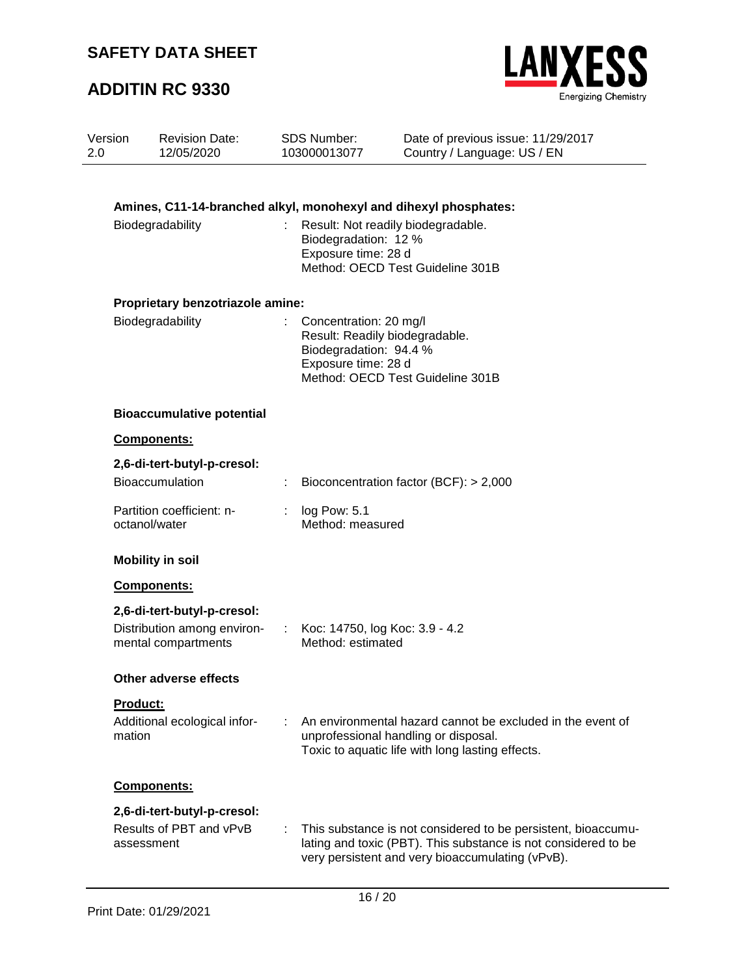

| Version<br>2.0            | <b>Revision Date:</b><br>12/05/2020                                  |    | <b>SDS Number:</b><br>103000013077                                                                                    | Date of previous issue: 11/29/2017<br>Country / Language: US / EN                                                                                                                   |  |
|---------------------------|----------------------------------------------------------------------|----|-----------------------------------------------------------------------------------------------------------------------|-------------------------------------------------------------------------------------------------------------------------------------------------------------------------------------|--|
|                           |                                                                      |    |                                                                                                                       |                                                                                                                                                                                     |  |
|                           | Amines, C11-14-branched alkyl, monohexyl and dihexyl phosphates:     |    |                                                                                                                       |                                                                                                                                                                                     |  |
|                           | Biodegradability                                                     |    | Result: Not readily biodegradable.<br>Biodegradation: 12 %<br>Exposure time: 28 d<br>Method: OECD Test Guideline 301B |                                                                                                                                                                                     |  |
|                           | Proprietary benzotriazole amine:                                     |    |                                                                                                                       |                                                                                                                                                                                     |  |
|                           | Biodegradability                                                     |    | Concentration: 20 mg/l<br>Result: Readily biodegradable.<br>Biodegradation: 94.4 %<br>Exposure time: 28 d             | Method: OECD Test Guideline 301B                                                                                                                                                    |  |
|                           | <b>Bioaccumulative potential</b>                                     |    |                                                                                                                       |                                                                                                                                                                                     |  |
|                           | Components:                                                          |    |                                                                                                                       |                                                                                                                                                                                     |  |
|                           | 2,6-di-tert-butyl-p-cresol:<br><b>Bioaccumulation</b>                |    |                                                                                                                       | Bioconcentration factor (BCF): > 2,000                                                                                                                                              |  |
|                           | Partition coefficient: n-<br>octanol/water                           | t. | log Pow: 5.1<br>Method: measured                                                                                      |                                                                                                                                                                                     |  |
|                           | <b>Mobility in soil</b>                                              |    |                                                                                                                       |                                                                                                                                                                                     |  |
|                           | Components:                                                          |    |                                                                                                                       |                                                                                                                                                                                     |  |
|                           | 2,6-di-tert-butyl-p-cresol:                                          |    |                                                                                                                       |                                                                                                                                                                                     |  |
|                           | Distribution among environ-<br>mental compartments                   | t. | Koc: 14750, log Koc: 3.9 - 4.2<br>Method: estimated                                                                   |                                                                                                                                                                                     |  |
|                           | Other adverse effects                                                |    |                                                                                                                       |                                                                                                                                                                                     |  |
| <b>Product:</b><br>mation | Additional ecological infor-                                         |    |                                                                                                                       | An environmental hazard cannot be excluded in the event of<br>unprofessional handling or disposal.<br>Toxic to aquatic life with long lasting effects.                              |  |
|                           | Components:                                                          |    |                                                                                                                       |                                                                                                                                                                                     |  |
|                           | 2,6-di-tert-butyl-p-cresol:<br>Results of PBT and vPvB<br>assessment |    |                                                                                                                       | This substance is not considered to be persistent, bioaccumu-<br>lating and toxic (PBT). This substance is not considered to be<br>very persistent and very bioaccumulating (vPvB). |  |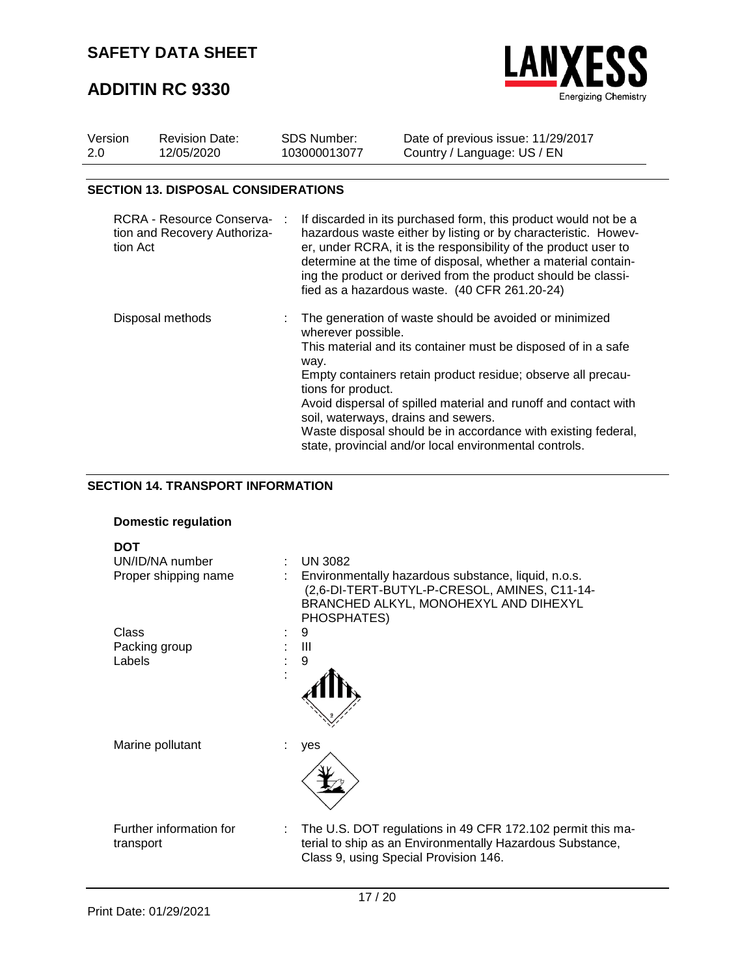## **ADDITIN RC 9330**



| Version<br>2.0 | <b>Revision Date:</b><br>12/05/2020                                   |           | <b>SDS Number:</b><br>103000013077 | Date of previous issue: 11/29/2017<br>Country / Language: US / EN                                                                                                                                                                                                                                                                                                                        |
|----------------|-----------------------------------------------------------------------|-----------|------------------------------------|------------------------------------------------------------------------------------------------------------------------------------------------------------------------------------------------------------------------------------------------------------------------------------------------------------------------------------------------------------------------------------------|
|                | <b>SECTION 13. DISPOSAL CONSIDERATIONS</b>                            |           |                                    |                                                                                                                                                                                                                                                                                                                                                                                          |
|                | RCRA - Resource Conserva-<br>tion and Recovery Authoriza-<br>tion Act | $\cdot$ : |                                    | If discarded in its purchased form, this product would not be a<br>hazardous waste either by listing or by characteristic. Howev-<br>er, under RCRA, it is the responsibility of the product user to<br>determine at the time of disposal, whether a material contain-<br>ing the product or derived from the product should be classi-<br>fied as a hazardous waste. (40 CFR 261.20-24) |
|                | Disposal methods                                                      |           | wherever possible.                 | : The generation of waste should be avoided or minimized<br>This material and its container must be disposed of in a safe                                                                                                                                                                                                                                                                |

Empty containers retain product residue; observe all precau-

Avoid dispersal of spilled material and runoff and contact with

Waste disposal should be in accordance with existing federal,

state, provincial and/or local environmental controls.

way.

tions for product.

soil, waterways, drains and sewers.

# **SECTION 14. TRANSPORT INFORMATION**

#### **Domestic regulation**

| <b>DOT</b><br>UN/ID/NA number<br>÷   | <b>UN 3082</b>                                                                                                                                                     |
|--------------------------------------|--------------------------------------------------------------------------------------------------------------------------------------------------------------------|
| Proper shipping name                 | Environmentally hazardous substance, liquid, n.o.s.<br>(2,6-DI-TERT-BUTYL-P-CRESOL, AMINES, C11-14-<br>BRANCHED ALKYL, MONOHEXYL AND DIHEXYL<br>PHOSPHATES)        |
| Class                                | 9                                                                                                                                                                  |
| Packing group                        | Ш                                                                                                                                                                  |
| Labels                               | 9                                                                                                                                                                  |
|                                      |                                                                                                                                                                    |
| Marine pollutant                     | yes                                                                                                                                                                |
| Further information for<br>transport | : The U.S. DOT regulations in 49 CFR 172.102 permit this ma-<br>terial to ship as an Environmentally Hazardous Substance,<br>Class 9, using Special Provision 146. |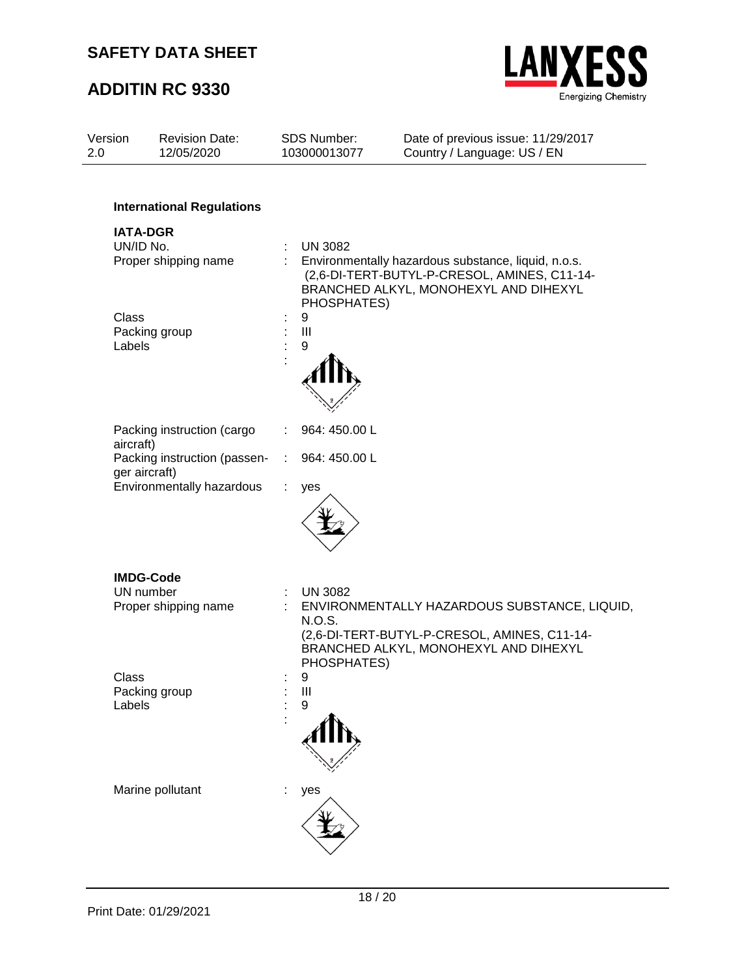

| Version<br>2.0         | <b>Revision Date:</b><br>12/05/2020                                         | SDS Number:<br>103000013077                  | Date of previous issue: 11/29/2017<br>Country / Language: US / EN                                                                            |
|------------------------|-----------------------------------------------------------------------------|----------------------------------------------|----------------------------------------------------------------------------------------------------------------------------------------------|
| UN/ID No.              | <b>International Regulations</b><br><b>IATA-DGR</b><br>Proper shipping name | <b>UN 3082</b>                               | Environmentally hazardous substance, liquid, n.o.s.<br>(2,6-DI-TERT-BUTYL-P-CRESOL, AMINES, C11-14-<br>BRANCHED ALKYL, MONOHEXYL AND DIHEXYL |
| <b>Class</b><br>Labels | Packing group                                                               | PHOSPHATES)<br>9<br>III<br>9                 |                                                                                                                                              |
| aircraft)              | Packing instruction (cargo                                                  | 964: 450.00 L                                |                                                                                                                                              |
|                        | Packing instruction (passen-<br>ger aircraft)                               | 964: 450.00 L<br>÷                           |                                                                                                                                              |
|                        | Environmentally hazardous                                                   | ÷<br>yes                                     |                                                                                                                                              |
|                        | <b>IMDG-Code</b><br>UN number<br>Proper shipping name                       | <b>UN 3082</b><br>÷<br>N.O.S.<br>PHOSPHATES) | ENVIRONMENTALLY HAZARDOUS SUBSTANCE, LIQUID,<br>(2,6-DI-TERT-BUTYL-P-CRESOL, AMINES, C11-14-<br>BRANCHED ALKYL, MONOHEXYL AND DIHEXYL        |
| Class<br>Labels        | Packing group                                                               | 9<br>$\mathbf{III}$<br>9                     |                                                                                                                                              |
|                        | Marine pollutant                                                            | yes                                          |                                                                                                                                              |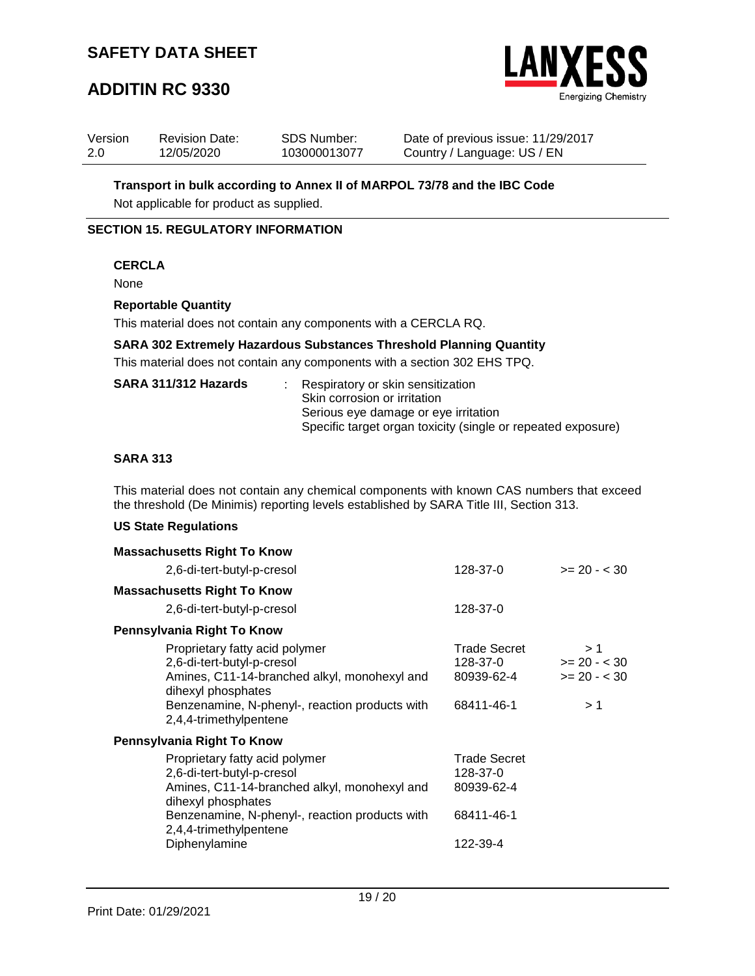## **ADDITIN RC 9330**



| Version | <b>Revision Date:</b> | <b>SDS Number:</b> | Date of previous issue: 11/29/2017 |
|---------|-----------------------|--------------------|------------------------------------|
| -2.0    | 12/05/2020            | 103000013077       | Country / Language: US / EN        |

**Transport in bulk according to Annex II of MARPOL 73/78 and the IBC Code**

Not applicable for product as supplied.

### **SECTION 15. REGULATORY INFORMATION**

### **CERCLA**

None

#### **Reportable Quantity**

This material does not contain any components with a CERCLA RQ.

**SARA 302 Extremely Hazardous Substances Threshold Planning Quantity**

This material does not contain any components with a section 302 EHS TPQ.

| SARA 311/312 Hazards | : Respiratory or skin sensitization<br>Skin corrosion or irritation<br>Serious eye damage or eye irritation<br>Specific target organ toxicity (single or repeated exposure) |
|----------------------|-----------------------------------------------------------------------------------------------------------------------------------------------------------------------------|
|                      |                                                                                                                                                                             |

### **SARA 313**

This material does not contain any chemical components with known CAS numbers that exceed the threshold (De Minimis) reporting levels established by SARA Title III, Section 313.

### **US State Regulations**

| <b>Massachusetts Right To Know</b>                                                                                                                                                                                              |                                                                         |                                             |
|---------------------------------------------------------------------------------------------------------------------------------------------------------------------------------------------------------------------------------|-------------------------------------------------------------------------|---------------------------------------------|
| 2,6-di-tert-butyl-p-cresol                                                                                                                                                                                                      | 128-37-0                                                                | $>= 20 - < 30$                              |
| <b>Massachusetts Right To Know</b>                                                                                                                                                                                              |                                                                         |                                             |
| 2,6-di-tert-butyl-p-cresol                                                                                                                                                                                                      | 128-37-0                                                                |                                             |
| Pennsylvania Right To Know                                                                                                                                                                                                      |                                                                         |                                             |
| Proprietary fatty acid polymer<br>2,6-di-tert-butyl-p-cresol<br>Amines, C11-14-branched alkyl, monohexyl and<br>dihexyl phosphates<br>Benzenamine, N-phenyl-, reaction products with<br>2,4,4-trimethylpentene                  | Trade Secret<br>128-37-0<br>80939-62-4<br>68411-46-1                    | >1<br>$>= 20 - 30$<br>$>= 20 - < 30$<br>> 1 |
| Pennsylvania Right To Know                                                                                                                                                                                                      |                                                                         |                                             |
| Proprietary fatty acid polymer<br>2,6-di-tert-butyl-p-cresol<br>Amines, C11-14-branched alkyl, monohexyl and<br>dihexyl phosphates<br>Benzenamine, N-phenyl-, reaction products with<br>2,4,4-trimethylpentene<br>Diphenylamine | <b>Trade Secret</b><br>128-37-0<br>80939-62-4<br>68411-46-1<br>122-39-4 |                                             |
|                                                                                                                                                                                                                                 |                                                                         |                                             |